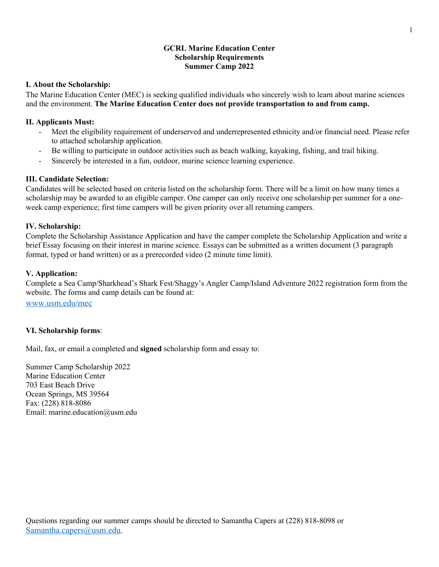### **GCRL Marine Education Center Scholarship Requirements Summer Camp 2022**

#### **I. About the Scholarship:**

The Marine Education Center (MEC) is seeking qualified individuals who sincerely wish to learn about marine sciences and the environment. **The Marine Education Center does not provide transportation to and from camp.** 

### **II. Applicants Must:**

- Meet the eligibility requirement of underserved and underrepresented ethnicity and/or financial need. Please refer to attached scholarship application.
- Be willing to participate in outdoor activities such as beach walking, kayaking, fishing, and trail hiking.
- Sincerely be interested in a fun, outdoor, marine science learning experience.

#### **III. Candidate Selection:**

Candidates will be selected based on criteria listed on the scholarship form. There will be a limit on how many times a scholarship may be awarded to an eligible camper. One camper can only receive one scholarship per summer for a oneweek camp experience; first time campers will be given priority over all returning campers.

### **IV. Scholarship:**

Complete the Scholarship Assistance Application and have the camper complete the Scholarship Application and write a brief Essay focusing on their interest in marine science. Essays can be submitted as a written document (3 paragraph format, typed or hand written) or as a prerecorded video (2 minute time limit).

### **V. Application:**

Complete a Sea Camp/Sharkhead's Shark Fest/Shaggy's Angler Camp/Island Adventure 2022 registration form from the website. The forms and camp details can be found at:

www.usm.edu/mec

## **VI. Scholarship forms**:

Mail, fax, or email a completed and **signed** scholarship form and essay to:

Summer Camp Scholarship 2022 Marine Education Center 703 East Beach Drive Ocean Springs, MS 39564 Fax: (228) 818-8086 Email: marine.education@usm.edu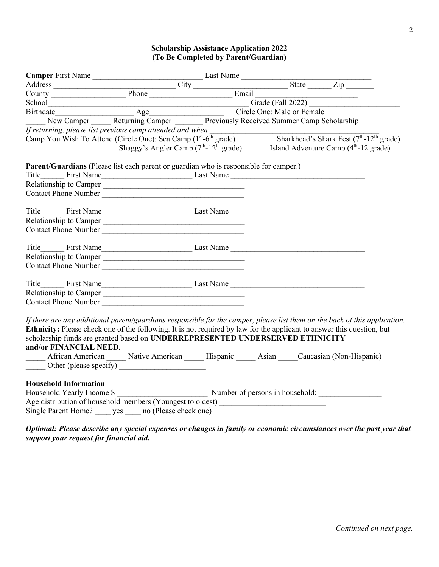# **Scholarship Assistance Application 2022 (To Be Completed by Parent/Guardian)**

| Camper First Name<br>Address<br>County Phone County Phone Email<br>County Phone Email                                                                                                                                                                                                                                                                           |                                                                                   |  |  |  |                                                                                                                       |  |
|-----------------------------------------------------------------------------------------------------------------------------------------------------------------------------------------------------------------------------------------------------------------------------------------------------------------------------------------------------------------|-----------------------------------------------------------------------------------|--|--|--|-----------------------------------------------------------------------------------------------------------------------|--|
|                                                                                                                                                                                                                                                                                                                                                                 |                                                                                   |  |  |  |                                                                                                                       |  |
|                                                                                                                                                                                                                                                                                                                                                                 |                                                                                   |  |  |  |                                                                                                                       |  |
|                                                                                                                                                                                                                                                                                                                                                                 |                                                                                   |  |  |  |                                                                                                                       |  |
| County<br>School<br>School<br>Birthdate<br>New Camper Returning Camper Previously Received Summer Camp Scholarship                                                                                                                                                                                                                                              |                                                                                   |  |  |  |                                                                                                                       |  |
|                                                                                                                                                                                                                                                                                                                                                                 |                                                                                   |  |  |  |                                                                                                                       |  |
| <i>If returning, please list previous camp attended and when</i><br>Camp You Wish To Attend (Circle One): Sea Camp (1 <sup>st</sup> -6 <sup>th</sup> grade) Sharkhead's Shark Fest (7 <sup>th</sup> -12 <sup>th</sup> grade)<br>Shaggy's Angler Camp (7 <sup>th</sup> -12 <sup>th</sup> grade) Island A                                                         |                                                                                   |  |  |  |                                                                                                                       |  |
| Parent/Guardians (Please list each parent or guardian who is responsible for camper.)                                                                                                                                                                                                                                                                           |                                                                                   |  |  |  |                                                                                                                       |  |
|                                                                                                                                                                                                                                                                                                                                                                 |                                                                                   |  |  |  |                                                                                                                       |  |
| Relationship to Camper                                                                                                                                                                                                                                                                                                                                          |                                                                                   |  |  |  |                                                                                                                       |  |
| Contact Phone Number                                                                                                                                                                                                                                                                                                                                            |                                                                                   |  |  |  |                                                                                                                       |  |
|                                                                                                                                                                                                                                                                                                                                                                 |                                                                                   |  |  |  |                                                                                                                       |  |
|                                                                                                                                                                                                                                                                                                                                                                 |                                                                                   |  |  |  |                                                                                                                       |  |
| Relationship to Camper                                                                                                                                                                                                                                                                                                                                          |                                                                                   |  |  |  |                                                                                                                       |  |
| Contact Phone Number                                                                                                                                                                                                                                                                                                                                            |                                                                                   |  |  |  |                                                                                                                       |  |
|                                                                                                                                                                                                                                                                                                                                                                 |                                                                                   |  |  |  |                                                                                                                       |  |
|                                                                                                                                                                                                                                                                                                                                                                 |                                                                                   |  |  |  |                                                                                                                       |  |
| Relationship to Camper                                                                                                                                                                                                                                                                                                                                          |                                                                                   |  |  |  |                                                                                                                       |  |
| Contact Phone Number                                                                                                                                                                                                                                                                                                                                            |                                                                                   |  |  |  |                                                                                                                       |  |
|                                                                                                                                                                                                                                                                                                                                                                 |                                                                                   |  |  |  |                                                                                                                       |  |
|                                                                                                                                                                                                                                                                                                                                                                 |                                                                                   |  |  |  |                                                                                                                       |  |
| Relationship to Camper                                                                                                                                                                                                                                                                                                                                          |                                                                                   |  |  |  |                                                                                                                       |  |
|                                                                                                                                                                                                                                                                                                                                                                 |                                                                                   |  |  |  |                                                                                                                       |  |
| If there are any additional parent/guardians responsible for the camper, please list them on the back of this application.<br>Ethnicity: Please check one of the following. It is not required by law for the applicant to answer this question, but<br>scholarship funds are granted based on UNDERREPRESENTED UNDERSERVED ETHNICITY<br>and/or FINANCIAL NEED. |                                                                                   |  |  |  |                                                                                                                       |  |
|                                                                                                                                                                                                                                                                                                                                                                 | African American Mative American Musques Elispanic Matian Mucasian (Non-Hispanic) |  |  |  |                                                                                                                       |  |
|                                                                                                                                                                                                                                                                                                                                                                 |                                                                                   |  |  |  |                                                                                                                       |  |
| <b>Household Information</b><br>Age distribution of household members (Youngest to oldest) ______________________<br>Single Parent Home? yes no (Please check one)                                                                                                                                                                                              |                                                                                   |  |  |  |                                                                                                                       |  |
|                                                                                                                                                                                                                                                                                                                                                                 |                                                                                   |  |  |  | Optional: Please describe any special expenses or changes in family or economic circumstances over the past year that |  |

*support your request for financial aid.*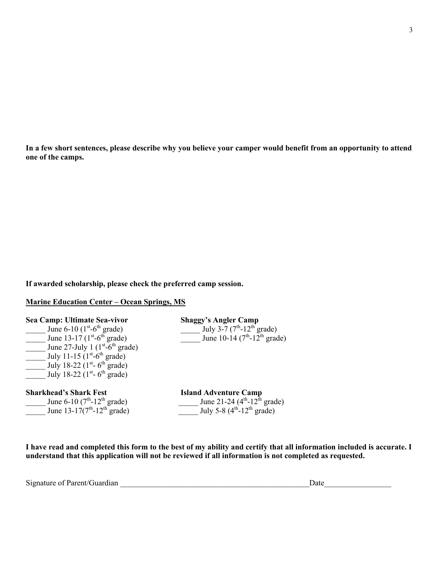**In a few short sentences, please describe why you believe your camper would benefit from an opportunity to attend one of the camps.** 

**If awarded scholarship, please check the preferred camp session.** 

#### **Marine Education Center – Ocean Springs, MS**

| Sea Camp: Ultimate Sea-vivor                   | <b>Shaggy's Angler Camp</b>                 |
|------------------------------------------------|---------------------------------------------|
| June 6-10 $(1^{st} - 6^{th})$ grade)           | July 3-7 $(7th - 12th$ grade)               |
| June 13-17 $(1^{st} - 6^{th})$ grade)          | June 10-14 ( $7th$ -12 <sup>th</sup> grade) |
| June 27-July 1 $(1st-6th \text{ grade})$       |                                             |
| July 11-15 $(1^{st} - 6^{th})$ grade)          |                                             |
| July 18-22 ( $1^{st}$ - 6 <sup>th</sup> grade) |                                             |
| July 18-22 ( $1^{st}$ - 6 <sup>th</sup> grade) |                                             |
| <b>Sharkhead's Shark Fest</b>                  | <b>Island Adventure Camp</b>                |
| June 6-10 $(7th-12th$ grade)                   | June 21-24 ( $4th$ -12 <sup>th</sup> grade) |
| June 13-17 $(7^{th} - 12^{th})$ grade)         | July 5-8 $(4^{th} - 12^{th} \text{ grade})$ |

**I have read and completed this form to the best of my ability and certify that all information included is accurate. I understand that this application will not be reviewed if all information is not completed as requested.** 

| $\sim \cdot$<br>Signature of Parent/G<br>Guardian |  | our |
|---------------------------------------------------|--|-----|
|---------------------------------------------------|--|-----|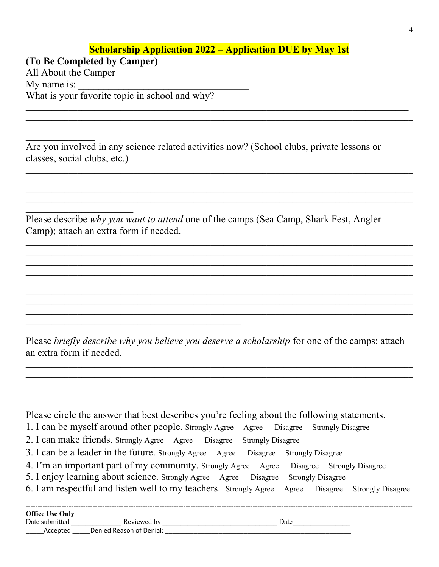# **Scholarship Application 2022 – Application DUE by May 1st**

**(To Be Completed by Camper)**  All About the Camper My name is: What is your favorite topic in school and why?

Are you involved in any science related activities now? (School clubs, private lessons or classes, social clubs, etc.)

Please describe *why you want to attend* one of the camps (Sea Camp, Shark Fest, Angler Camp); attach an extra form if needed.

 $\mathcal{L}_\mathcal{L} = \mathcal{L}_\mathcal{L} = \mathcal{L}_\mathcal{L} = \mathcal{L}_\mathcal{L} = \mathcal{L}_\mathcal{L} = \mathcal{L}_\mathcal{L} = \mathcal{L}_\mathcal{L} = \mathcal{L}_\mathcal{L} = \mathcal{L}_\mathcal{L} = \mathcal{L}_\mathcal{L} = \mathcal{L}_\mathcal{L} = \mathcal{L}_\mathcal{L} = \mathcal{L}_\mathcal{L} = \mathcal{L}_\mathcal{L} = \mathcal{L}_\mathcal{L} = \mathcal{L}_\mathcal{L} = \mathcal{L}_\mathcal{L}$ 

Please *briefly describe why you believe you deserve a scholarship* for one of the camps; attach an extra form if needed.

 $\mathcal{L}_\mathcal{L} = \mathcal{L}_\mathcal{L} = \mathcal{L}_\mathcal{L} = \mathcal{L}_\mathcal{L} = \mathcal{L}_\mathcal{L} = \mathcal{L}_\mathcal{L} = \mathcal{L}_\mathcal{L} = \mathcal{L}_\mathcal{L} = \mathcal{L}_\mathcal{L} = \mathcal{L}_\mathcal{L} = \mathcal{L}_\mathcal{L} = \mathcal{L}_\mathcal{L} = \mathcal{L}_\mathcal{L} = \mathcal{L}_\mathcal{L} = \mathcal{L}_\mathcal{L} = \mathcal{L}_\mathcal{L} = \mathcal{L}_\mathcal{L}$ 

Please circle the answer that best describes you're feeling about the following statements.

- 1. I can be myself around other people. Strongly Agree Agree Disagree Strongly Disagree
- 2. I can make friends. Strongly Agree Agree Disagree Strongly Disagree
- 3. I can be a leader in the future. Strongly Agree Agree Disagree Strongly Disagree
- 4. I'm an important part of my community. Strongly Agree Agree Disagree Strongly Disagree
- 5. I enjoy learning about science. Strongly Agree Agree Disagree Strongly Disagree
- 6. I am respectful and listen well to my teachers. Strongly Agree Agree Disagree Strongly Disagree

| <b>Office Use Only</b> |                          |      |
|------------------------|--------------------------|------|
| Date submitted         | Reviewed by              | Date |
| Accepted               | Denied Reason of Denial: |      |